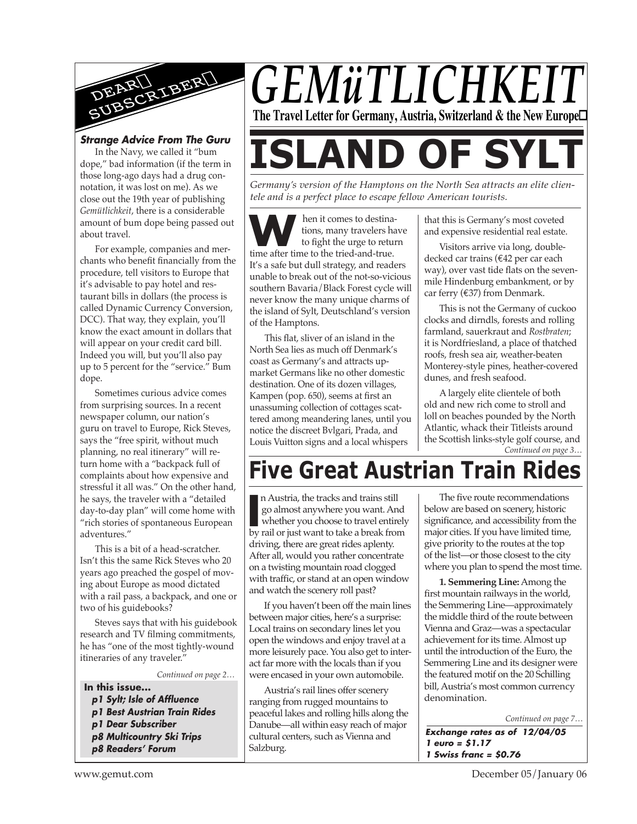

#### *Strange Advice From The Guru*

In the Navy, we called it "bum dope," bad information (if the term in those long-ago days had a drug connotation, it was lost on me). As we close out the 19th year of publishing *Gemütlichkeit*, there is a considerable amount of bum dope being passed out about travel.

For example, companies and merchants who benefit financially from the procedure, tell visitors to Europe that it's advisable to pay hotel and restaurant bills in dollars (the process is called Dynamic Currency Conversion, DCC). That way, they explain, you'll know the exact amount in dollars that will appear on your credit card bill. Indeed you will, but you'll also pay up to 5 percent for the "service." Bum dope.

Sometimes curious advice comes from surprising sources. In a recent newspaper column, our nation's guru on travel to Europe, Rick Steves, says the "free spirit, without much planning, no real itinerary" will return home with a "backpack full of complaints about how expensive and stressful it all was." On the other hand, he says, the traveler with a "detailed day-to-day plan" will come home with "rich stories of spontaneous European adventures."

This is a bit of a head-scratcher. Isn't this the same Rick Steves who 20 years ago preached the gospel of moving about Europe as mood dictated with a rail pass, a backpack, and one or two of his guidebooks?

Steves says that with his guidebook research and TV filming commitments, he has "one of the most tightly-wound itineraries of any traveler."

*Continued on page 2…*

- **In this issue...**
	- *p1 Sylt; Isle of Affluence*
- *p1 Best Austrian Train Rides*
- *p1 Dear Subscriber*
- *p8 Multicountry Ski Trips*
- *p8 Readers' Forum*



# **ISLAND OF SYL**

*Germany's version of the Hamptons on the North Sea attracts an elite clientele and is a perfect place to escape fellow American tourists.*

hen it comes to destinations, many travelers have to fight the urge to return **M** hen it comes to destinations, many travelers has to fight the urge to return time after time to the tried-and-true. It's a safe but dull strategy, and readers unable to break out of the not-so-vicious southern Bavaria/Black Forest cycle will never know the many unique charms of the island of Sylt, Deutschland's version of the Hamptons.

This flat, sliver of an island in the North Sea lies as much off Denmark's coast as Germany's and attracts upmarket Germans like no other domestic destination. One of its dozen villages, Kampen (pop. 650), seems at first an unassuming collection of cottages scattered among meandering lanes, until you notice the discreet Bvlgari, Prada, and Louis Vuitton signs and a local whispers

that this is Germany's most coveted and expensive residential real estate.

Visitors arrive via long, doubledecked car trains (€42 per car each way), over vast tide flats on the sevenmile Hindenburg embankment, or by car ferry  $(637)$  from Denmark.

This is not the Germany of cuckoo clocks and dirndls, forests and rolling farmland, sauerkraut and *Rostbraten*; it is Nordfriesland, a place of thatched roofs, fresh sea air, weather-beaten Monterey-style pines, heather-covered dunes, and fresh seafood.

*Continued on page 3…* A largely elite clientele of both old and new rich come to stroll and loll on beaches pounded by the North Atlantic, whack their Titleists around the Scottish links-style golf course, and

# **Five Great Austrian Train Rides**

In Austria, the tracks and trains still<br>go almost anywhere you want. And<br>whether you choose to travel entirely<br>by rail or just want to take a break from n Austria, the tracks and trains still go almost anywhere you want. And whether you choose to travel entirely driving, there are great rides aplenty. After all, would you rather concentrate on a twisting mountain road clogged with traffic, or stand at an open window and watch the scenery roll past?

If you haven't been off the main lines between major cities, here's a surprise: Local trains on secondary lines let you open the windows and enjoy travel at a more leisurely pace. You also get to interact far more with the locals than if you were encased in your own automobile.

Austria's rail lines offer scenery ranging from rugged mountains to peaceful lakes and rolling hills along the Danube—all within easy reach of major cultural centers, such as Vienna and Salzburg.

The five route recommendations below are based on scenery, historic significance, and accessibility from the major cities. If you have limited time, give priority to the routes at the top of the list—or those closest to the city where you plan to spend the most time.

**1. Semmering Line:** Among the first mountain railways in the world, the Semmering Line—approximately the middle third of the route between Vienna and Graz—was a spectacular achievement for its time. Almost up until the introduction of the Euro, the Semmering Line and its designer were the featured motif on the 20 Schilling bill, Austria's most common currency denomination.

*Continued on page 7…*

*Exchange rates as of 12/04/05 1 euro = \$1.17 1 Swiss franc = \$0.76*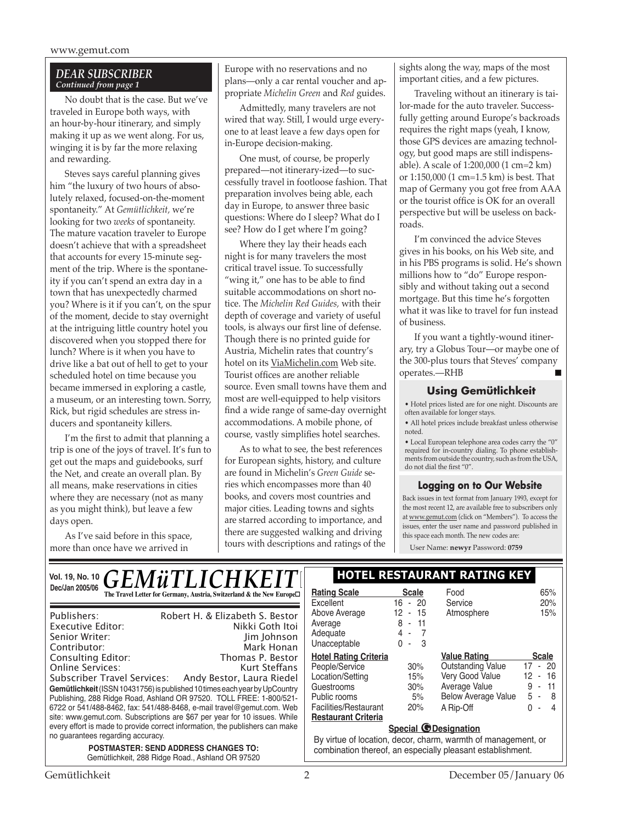#### *DEAR SUBSCRIBER Continued from page 1*

No doubt that is the case. But we've traveled in Europe both ways, with an hour-by-hour itinerary, and simply making it up as we went along. For us, winging it is by far the more relaxing and rewarding.

Steves says careful planning gives him "the luxury of two hours of absolutely relaxed, focused-on-the-moment spontaneity." At *Gemütlichkeit,* we're looking for two *weeks* of spontaneity. The mature vacation traveler to Europe doesn't achieve that with a spreadsheet that accounts for every 15-minute segment of the trip. Where is the spontaneity if you can't spend an extra day in a town that has unexpectedly charmed you? Where is it if you can't, on the spur of the moment, decide to stay overnight at the intriguing little country hotel you discovered when you stopped there for lunch? Where is it when you have to drive like a bat out of hell to get to your scheduled hotel on time because you became immersed in exploring a castle, a museum, or an interesting town. Sorry, Rick, but rigid schedules are stress inducers and spontaneity killers.

I'm the first to admit that planning a trip is one of the joys of travel. It's fun to get out the maps and guidebooks, surf the Net, and create an overall plan. By all means, make reservations in cities where they are necessary (not as many as you might think), but leave a few days open.

As I've said before in this space, more than once have we arrived in

Europe with no reservations and no plans—only a car rental voucher and appropriate *Michelin Green* and *Red* guides.

Admittedly, many travelers are not wired that way. Still, I would urge everyone to at least leave a few days open for in-Europe decision-making.

One must, of course, be properly prepared—not itinerary-ized—to successfully travel in footloose fashion. That preparation involves being able, each day in Europe, to answer three basic questions: Where do I sleep? What do I see? How do I get where I'm going?

Where they lay their heads each night is for many travelers the most critical travel issue. To successfully "wing it," one has to be able to find suitable accommodations on short notice. The *Michelin Red Guides,* with their depth of coverage and variety of useful tools, is always our first line of defense. Though there is no printed guide for Austria, Michelin rates that country's hotel on its ViaMichelin.com Web site. Tourist offices are another reliable source. Even small towns have them and most are well-equipped to help visitors find a wide range of same-day overnight accommodations. A mobile phone, of course, vastly simplifies hotel searches.

As to what to see, the best references for European sights, history, and culture are found in Michelin's *Green Guide* series which encompasses more than 40 books, and covers most countries and major cities. Leading towns and sights are starred according to importance, and there are suggested walking and driving tours with descriptions and ratings of the sights along the way, maps of the most important cities, and a few pictures.

Traveling without an itinerary is tailor-made for the auto traveler. Successfully getting around Europe's backroads requires the right maps (yeah, I know, those GPS devices are amazing technology, but good maps are still indispensable). A scale of 1:200,000 (1 cm=2 km) or 1:150,000 (1 cm=1.5 km) is best. That map of Germany you got free from AAA or the tourist office is OK for an overall perspective but will be useless on backroads.

I'm convinced the advice Steves gives in his books, on his Web site, and in his PBS programs is solid. He's shown millions how to "do" Europe responsibly and without taking out a second mortgage. But this time he's forgotten what it was like to travel for fun instead of business.

If you want a tightly-wound itinerary, try a Globus Tour—or maybe one of the 300-plus tours that Steves' company operates.—RHB

#### **Using Gemütlichkeit**

• Hotel prices listed are for one night. Discounts are often available for longer stays.

• All hotel prices include breakfast unless otherwise noted.

• Local European telephone area codes carry the "0" required for in-country dialing. To phone establishments from outside the country, such as from the USA, do not dial the first "0".

#### **Logging on to Our Website**

Back issues in text format from January 1993, except for the most recent 12, are available free to subscribers only at www.gemut.com (click on "Members"). To access the issues, enter the user name and password published in this space each month. The new codes are:

User Name: **newyr** Password: **0759**

| Vol. 19, No. 10 $\bm{GEM}\ddot{\bm{u}}$ $TLICHKEIT$                                                                                                                                                                                                                                                                                                                                                                                                                                                                                       | <b>HOTEL RESTAURANT RATING KEY</b>                                                                                                                      |                                                               |                                                                                                                             |                                                                      |
|-------------------------------------------------------------------------------------------------------------------------------------------------------------------------------------------------------------------------------------------------------------------------------------------------------------------------------------------------------------------------------------------------------------------------------------------------------------------------------------------------------------------------------------------|---------------------------------------------------------------------------------------------------------------------------------------------------------|---------------------------------------------------------------|-----------------------------------------------------------------------------------------------------------------------------|----------------------------------------------------------------------|
| Dec/Jan 2005/06<br>The Travel Letter for Germany, Austria, Switzerland & the New Europe□                                                                                                                                                                                                                                                                                                                                                                                                                                                  | <b>Rating Scale</b><br>Excellent                                                                                                                        | <b>Scale</b><br>$16 - 20$                                     | Food<br>Service                                                                                                             | 65%<br>20%                                                           |
| Robert H. & Elizabeth S. Bestor<br>Publishers:<br>Nikki Goth Itoi<br>Executive Editor:<br>Senior Writer:<br>Jim Johnson<br>Mark Honan<br>Contributor:                                                                                                                                                                                                                                                                                                                                                                                     | Above Average<br>Average<br>Adequate<br>Unacceptable                                                                                                    | 12<br>15<br>$\sim$<br>8<br>$-11$<br>4 -<br>$0 - 3$            | Atmosphere                                                                                                                  | 15%                                                                  |
| Consulting Editor:<br>Thomas P. Bestor<br><b>Online Services:</b><br>Kurt Steffans<br>Andy Bestor, Laura Riedel<br>Subscriber Travel Services:<br>Gemütlichkeit (ISSN 10431756) is published 10 times each year by UpCountry<br>Publishing, 288 Ridge Road, Ashland OR 97520. TOLL FREE: 1-800/521-<br>6722 or 541/488-8462, fax: 541/488-8468, e-mail travel@gemut.com. Web<br>site: www.gemut.com. Subscriptions are \$67 per year for 10 issues. While<br>every effort is made to provide correct information, the publishers can make | <b>Hotel Rating Criteria</b><br>People/Service<br>Location/Setting<br>Guestrooms<br>Public rooms<br>Facilities/Restaurant<br><b>Restaurant Criteria</b> | 30%<br>15%<br>30%<br>5%<br>20%<br><b>Special @Designation</b> | <b>Value Rating</b><br>Outstanding Value<br>Very Good Value<br>Average Value<br><b>Below Average Value</b><br>A Rip-Off     | <b>Scale</b><br>$17 - 20$<br>12 - 16<br>$9 - 11$<br>5 - 8<br>$0 - 4$ |
| no guarantees regarding accuracy.<br><b>POSTMASTER: SEND ADDRESS CHANGES TO:</b><br>Gemütlichkeit, 288 Ridge Road., Ashland OR 97520                                                                                                                                                                                                                                                                                                                                                                                                      |                                                                                                                                                         |                                                               | By virtue of location, decor, charm, warmth of management, or<br>combination thereof, an especially pleasant establishment. |                                                                      |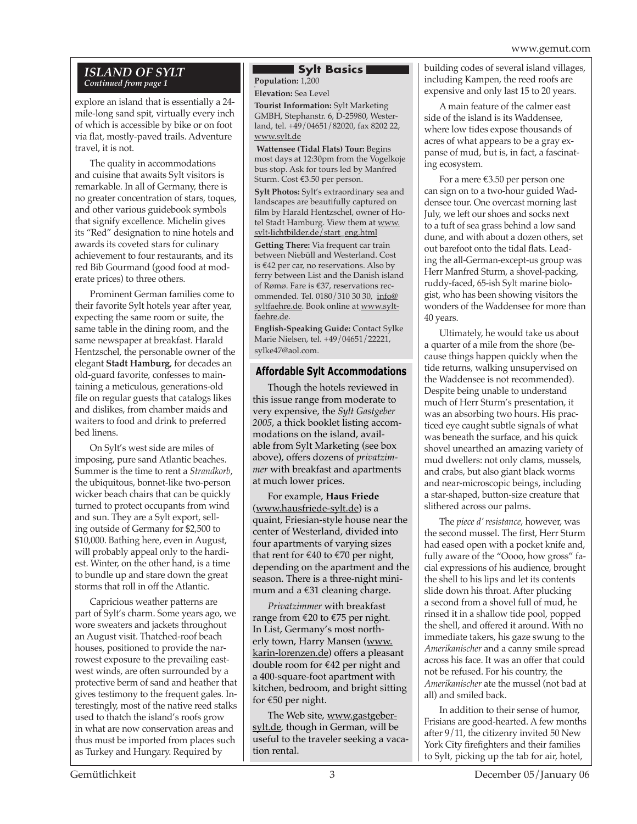#### *Island of Sylt Continued from page 1*

explore an island that is essentially a 24 mile-long sand spit, virtually every inch of which is accessible by bike or on foot via flat, mostly-paved trails. Adventure travel, it is not.

The quality in accommodations and cuisine that awaits Sylt visitors is remarkable. In all of Germany, there is no greater concentration of stars, toques, and other various guidebook symbols that signify excellence. Michelin gives its "Red" designation to nine hotels and awards its coveted stars for culinary achievement to four restaurants, and its red Bib Gourmand (good food at moderate prices) to three others.

Prominent German families come to their favorite Sylt hotels year after year, expecting the same room or suite, the same table in the dining room, and the same newspaper at breakfast. Harald Hentzschel, the personable owner of the elegant **Stadt Hamburg**, for decades an old-guard favorite, confesses to maintaining a meticulous, generations-old file on regular guests that catalogs likes and dislikes, from chamber maids and waiters to food and drink to preferred bed linens.

On Sylt's west side are miles of imposing, pure sand Atlantic beaches. Summer is the time to rent a *Strandkorb*, the ubiquitous, bonnet-like two-person wicker beach chairs that can be quickly turned to protect occupants from wind and sun. They are a Sylt export, selling outside of Germany for \$2,500 to \$10,000. Bathing here, even in August, will probably appeal only to the hardiest. Winter, on the other hand, is a time to bundle up and stare down the great storms that roll in off the Atlantic.

Capricious weather patterns are part of Sylt's charm. Some years ago, we wore sweaters and jackets throughout an August visit. Thatched-roof beach houses, positioned to provide the narrowest exposure to the prevailing eastwest winds, are often surrounded by a protective berm of sand and heather that gives testimony to the frequent gales. Interestingly, most of the native reed stalks used to thatch the island's roofs grow in what are now conservation areas and thus must be imported from places such as Turkey and Hungary. Required by

### **Sylt Basics**

. **Population:** 1,200 **Elevation:** Sea Level

**Tourist Information:** Sylt Marketing GMBH, Stephanstr. 6, D-25980, Westerland, tel. +49/04651/82020, fax 8202 22, www.sylt.de

 **Wattensee (Tidal Flats) Tour:** Begins most days at 12:30pm from the Vogelkoje bus stop. Ask for tours led by Manfred Sturm. Cost €3.50 per person.

**Sylt Photos:** Sylt's extraordinary sea and landscapes are beautifully captured on film by Harald Hentzschel, owner of Hotel Stadt Hamburg. View them at www. sylt-lichtbilder.de/start\_eng.html

**Getting There:** Via frequent car train between Niebüll and Westerland. Cost is  $€42$  per car, no reservations. Also by ferry between List and the Danish island of Rømø. Fare is €37, reservations recommended. Tel. 0180/310 30 30, info@ syltfaehre.de. Book online at www.syltfaehre.de.

**English-Speaking Guide:** Contact Sylke Marie Nielsen, tel. +49/04651/22221, sylke47@aol.com.

#### **Affordable Sylt Accommodations**

Though the hotels reviewed in this issue range from moderate to very expensive, the *Sylt Gastgeber 2005*, a thick booklet listing accommodations on the island, available from Sylt Marketing (see box above), offers dozens of *privatzimmer* with breakfast and apartments at much lower prices.

For example, **Haus Friede** (www.hausfriede-sylt.de) is a quaint, Friesian-style house near the center of Westerland, divided into four apartments of varying sizes that rent for  $€40$  to  $€70$  per night, depending on the apartment and the season. There is a three-night minimum and a  $\epsilon$ 31 cleaning charge.

*Privatzimmer* with breakfast range from  $\epsilon$ 20 to  $\epsilon$ 75 per night. In List, Germany's most northerly town, Harry Mansen (www. karin-lorenzen.de) offers a pleasant double room for €42 per night and a 400-square-foot apartment with kitchen, bedroom, and bright sitting for  $\epsilon$ 50 per night.

The Web site, www.gastgebersylt.de, though in German, will be useful to the traveler seeking a vacation rental.

building codes of several island villages, including Kampen, the reed roofs are expensive and only last 15 to 20 years.

A main feature of the calmer east side of the island is its Waddensee, where low tides expose thousands of acres of what appears to be a gray expanse of mud, but is, in fact, a fascinating ecosystem.

For a mere  $\epsilon$ 3.50 per person one can sign on to a two-hour guided Waddensee tour. One overcast morning last July, we left our shoes and socks next to a tuft of sea grass behind a low sand dune, and with about a dozen others, set out barefoot onto the tidal flats. Leading the all-German-except-us group was Herr Manfred Sturm, a shovel-packing, ruddy-faced, 65-ish Sylt marine biologist, who has been showing visitors the wonders of the Waddensee for more than 40 years.

Ultimately, he would take us about a quarter of a mile from the shore (because things happen quickly when the tide returns, walking unsupervised on the Waddensee is not recommended). Despite being unable to understand much of Herr Sturm's presentation, it was an absorbing two hours. His practiced eye caught subtle signals of what was beneath the surface, and his quick shovel unearthed an amazing variety of mud dwellers: not only clams, mussels, and crabs, but also giant black worms and near-microscopic beings, including a star-shaped, button-size creature that slithered across our palms.

The *piece d' resistance*, however, was the second mussel. The first, Herr Sturm had eased open with a pocket knife and, fully aware of the "Oooo, how gross" facial expressions of his audience, brought the shell to his lips and let its contents slide down his throat. After plucking a second from a shovel full of mud, he rinsed it in a shallow tide pool, popped the shell, and offered it around. With no immediate takers, his gaze swung to the *Amerikanischer* and a canny smile spread across his face. It was an offer that could not be refused. For his country, the *Amerikanischer* ate the mussel (not bad at all) and smiled back.

In addition to their sense of humor, Frisians are good-hearted. A few months after 9/11, the citizenry invited 50 New York City firefighters and their families to Sylt, picking up the tab for air, hotel,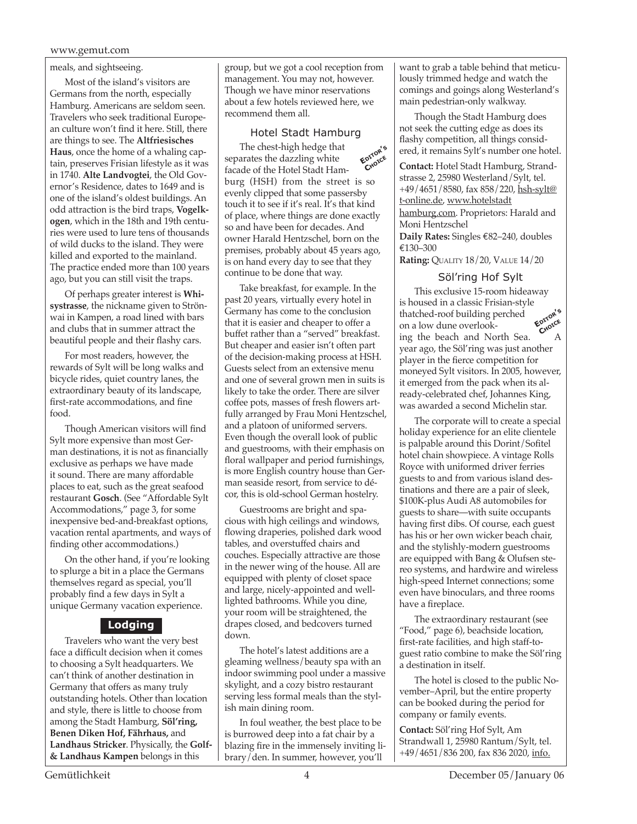#### meals, and sightseeing.

Most of the island's visitors are Germans from the north, especially Hamburg. Americans are seldom seen. Travelers who seek traditional European culture won't find it here. Still, there are things to see. The **Altfriesisches Haus**, once the home of a whaling captain, preserves Frisian lifestyle as it was in 1740. **Alte Landvogtei**, the Old Governor's Residence, dates to 1649 and is one of the island's oldest buildings. An odd attraction is the bird traps, **Vogelkogen**, which in the 18th and 19th centuries were used to lure tens of thousands of wild ducks to the island. They were killed and exported to the mainland. The practice ended more than 100 years ago, but you can still visit the traps.

Of perhaps greater interest is **Whisystrasse**, the nickname given to Strönwai in Kampen, a road lined with bars and clubs that in summer attract the beautiful people and their flashy cars.

For most readers, however, the rewards of Sylt will be long walks and bicycle rides, quiet country lanes, the extraordinary beauty of its landscape, first-rate accommodations, and fine food.

Though American visitors will find Sylt more expensive than most German destinations, it is not as financially exclusive as perhaps we have made it sound. There are many affordable places to eat, such as the great seafood restaurant **Gosch**. (See "Affordable Sylt Accommodations," page 3, for some inexpensive bed-and-breakfast options, vacation rental apartments, and ways of finding other accommodations.)

On the other hand, if you're looking to splurge a bit in a place the Germans themselves regard as special, you'll probably find a few days in Sylt a unique Germany vacation experience.

#### **Lodging**

Travelers who want the very best face a difficult decision when it comes to choosing a Sylt headquarters. We can't think of another destination in Germany that offers as many truly outstanding hotels. Other than location and style, there is little to choose from among the Stadt Hamburg, **Söl'ring, Benen Diken Hof, Fährhaus,** and **Landhaus Stricker**. Physically, the **Golf- & Landhaus Kampen** belongs in this

group, but we got a cool reception from management. You may not, however. Though we have minor reservations about a few hotels reviewed here, we recommend them all.

#### Hotel Stadt Hamburg

**Editor'<sup>s</sup> Choice** The chest-high hedge that separates the dazzling white facade of the Hotel Stadt Hamburg (HSH) from the street is so evenly clipped that some passersby touch it to see if it's real. It's that kind of place, where things are done exactly so and have been for decades. And owner Harald Hentzschel, born on the premises, probably about 45 years ago, is on hand every day to see that they continue to be done that way.

Take breakfast, for example. In the past 20 years, virtually every hotel in Germany has come to the conclusion that it is easier and cheaper to offer a buffet rather than a "served" breakfast. But cheaper and easier isn't often part of the decision-making process at HSH. Guests select from an extensive menu and one of several grown men in suits is likely to take the order. There are silver coffee pots, masses of fresh flowers artfully arranged by Frau Moni Hentzschel, and a platoon of uniformed servers. Even though the overall look of public and guestrooms, with their emphasis on floral wallpaper and period furnishings, is more English country house than German seaside resort, from service to décor, this is old-school German hostelry.

Guestrooms are bright and spacious with high ceilings and windows, flowing draperies, polished dark wood tables, and overstuffed chairs and couches. Especially attractive are those in the newer wing of the house. All are equipped with plenty of closet space and large, nicely-appointed and welllighted bathrooms. While you dine, your room will be straightened, the drapes closed, and bedcovers turned down.

The hotel's latest additions are a gleaming wellness/beauty spa with an indoor swimming pool under a massive skylight, and a cozy bistro restaurant serving less formal meals than the stylish main dining room.

In foul weather, the best place to be is burrowed deep into a fat chair by a blazing fire in the immensely inviting library/den. In summer, however, you'll

want to grab a table behind that meticulously trimmed hedge and watch the comings and goings along Westerland's main pedestrian-only walkway.

Though the Stadt Hamburg does not seek the cutting edge as does its flashy competition, all things considered, it remains Sylt's number one hotel.

**Contact:** Hotel Stadt Hamburg, Strandstrasse 2, 25980 Westerland/Sylt, tel. +49/4651/8580, fax 858/220, hsh-sylt@ t-online.de, www.hotelstadt hamburg.com. Proprietors: Harald and Moni Hentzschel

**Daily Rates:** Singles €82–240, doubles 130–300

**Rating: QUALITY 18/20, VALUE 14/20** 

#### Söl'ring Hof Sylt

This exclusive 15-room hideaway is housed in a classic Frisian-style thatched-roof building perched on a low dune overlooking the beach and North Sea. year ago, the Söl'ring was just another player in the fierce competition for moneyed Sylt visitors. In 2005, however, it emerged from the pack when its already-celebrated chef, Johannes King, was awarded a second Michelin star. **Editor'<sup>s</sup> Choice**

The corporate will to create a special holiday experience for an elite clientele is palpable around this Dorint/Sofitel hotel chain showpiece. A vintage Rolls Royce with uniformed driver ferries guests to and from various island destinations and there are a pair of sleek, \$100K-plus Audi A8 automobiles for guests to share—with suite occupants having first dibs. Of course, each guest has his or her own wicker beach chair, and the stylishly-modern guestrooms are equipped with Bang & Olufsen stereo systems, and hardwire and wireless high-speed Internet connections; some even have binoculars, and three rooms have a fireplace.

The extraordinary restaurant (see "Food," page 6), beachside location, first-rate facilities, and high staff-toguest ratio combine to make the Söl'ring a destination in itself.

The hotel is closed to the public November–April, but the entire property can be booked during the period for company or family events.

**Contact:** Söl'ring Hof Sylt, Am Strandwall 1, 25980 Rantum/Sylt, tel. +49/4651/836 200, fax 836 2020, info.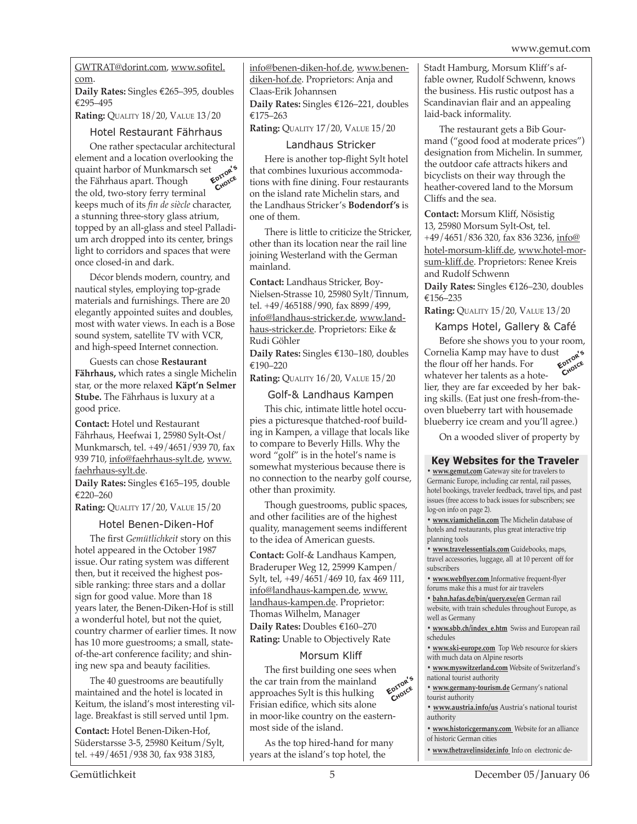GWTRAT@dorint.com, www.sofitel. com.

Daily Rates: Singles €265-395, doubles  $\epsilon$ 295–495

**Rating:** Quality 18/20, Value 13/20

#### Hotel Restaurant Fährhaus

One rather spectacular architectural element and a location overlooking the quaint harbor of Munkmarsch set **Editor'<sup>s</sup>** the Fährhaus apart. Though the old, two-story ferry terminal keeps much of its *fin de siècle* character, a stunning three-story glass atrium, topped by an all-glass and steel Palladium arch dropped into its center, brings light to corridors and spaces that were once closed-in and dark. **Choice**

Décor blends modern, country, and nautical styles, employing top-grade materials and furnishings. There are 20 elegantly appointed suites and doubles, most with water views. In each is a Bose sound system, satellite TV with VCR, and high-speed Internet connection.

Guests can chose **Restaurant Fährhaus,** which rates a single Michelin star, or the more relaxed **Käpt'n Selmer Stube.** The Fährhaus is luxury at a good price.

**Contact:** Hotel und Restaurant Fährhaus, Heefwai 1, 25980 Sylt-Ost/ Munkmarsch, tel. +49/4651/939 70, fax 939 710, info@faehrhaus-sylt.de, www. faehrhaus-sylt.de.

**Daily Rates:** Singles €165-195, double 220–260

**Rating:** Quality 17/20, Value 15/20

#### Hotel Benen-Diken-Hof

The first *Gemütlichkeit* story on this hotel appeared in the October 1987 issue. Our rating system was different then, but it received the highest possible ranking: three stars and a dollar sign for good value. More than 18 years later, the Benen-Diken-Hof is still a wonderful hotel, but not the quiet, country charmer of earlier times. It now has 10 more guestrooms; a small, stateof-the-art conference facility; and shining new spa and beauty facilities.

The 40 guestrooms are beautifully maintained and the hotel is located in Keitum, the island's most interesting village. Breakfast is still served until 1pm.

**Contact:** Hotel Benen-Diken-Hof, Süderstarsse 3-5, 25980 Keitum/Sylt, tel. +49/4651/938 30, fax 938 3183,

info@benen-diken-hof.de, www.benendiken-hof.de. Proprietors: Anja and Claas-Erik Johannsen Daily Rates: Singles €126-221, doubles  $€175–263$ 

**Rating:** Quality 17/20, Value 15/20

#### Landhaus Stricker

Here is another top-flight Sylt hotel that combines luxurious accommodations with fine dining. Four restaurants on the island rate Michelin stars, and the Landhaus Stricker's **Bodendorf's** is one of them.

There is little to criticize the Stricker, other than its location near the rail line joining Westerland with the German mainland.

**Contact:** Landhaus Stricker, Boy-Nielsen-Strasse 10, 25980 Sylt/Tinnum, tel. +49/465188/990, fax 8899/499, info@landhaus-stricker.de, www.landhaus-stricker.de. Proprietors: Eike & Rudi Göhler

Daily Rates: Singles €130-180, doubles 190–220

**Rating: QUALITY 16/20, VALUE 15/20** 

Golf-& Landhaus Kampen

This chic, intimate little hotel occupies a picturesque thatched-roof building in Kampen, a village that locals like to compare to Beverly Hills. Why the word "golf" is in the hotel's name is somewhat mysterious because there is no connection to the nearby golf course, other than proximity.

Though guestrooms, public spaces, and other facilities are of the highest quality, management seems indifferent to the idea of American guests.

**Contact:** Golf-& Landhaus Kampen, Braderuper Weg 12, 25999 Kampen/ Sylt, tel, +49/4651/469 10, fax 469 111, info@landhaus-kampen.de, www. landhaus-kampen.de. Proprietor: Thomas Wilhelm, Manager **Daily Rates: Doubles €160-270 Rating:** Unable to Objectively Rate

#### Morsum Kliff

The first building one sees when the car train from the mainland approaches Sylt is this hulking Frisian edifice, which sits alone in moor-like country on the easternmost side of the island. **Editor'<sup>s</sup> Choice**

As the top hired-hand for many years at the island's top hotel, the

Stadt Hamburg, Morsum Kliff's affable owner, Rudolf Schwenn, knows the business. His rustic outpost has a Scandinavian flair and an appealing laid-back informality.

The restaurant gets a Bib Gourmand ("good food at moderate prices") designation from Michelin. In summer, the outdoor cafe attracts hikers and bicyclists on their way through the heather-covered land to the Morsum Cliffs and the sea.

**Contact:** Morsum Kliff, Nösistig 13, 25980 Morsum Sylt-Ost, tel. +49/4651/836 320, fax 836 3236, info@ hotel-morsum-kliff.de, www.hotel-morsum-kliff.de. Proprietors: Renee Kreis and Rudolf Schwenn

**Daily Rates:** Singles €126-230, doubles 156–235

**Rating: QUALITY 15/20, VALUE 13/20** 

#### Kamps Hotel, Gallery & Café

Before she shows you to your room, Cornelia Kamp may have to dust the flour off her hands. For whatever her talents as a hotelier, they are far exceeded by her baking skills. (Eat just one fresh-from-theoven blueberry tart with housemade blueberry ice cream and you'll agree.) **Editor'<sup>s</sup> Choice**

On a wooded sliver of property by

#### **Key Websites for the Traveler**

**• www.gemut.com** Gateway site for travelers to Germanic Europe, including car rental, rail passes, hotel bookings, traveler feedback, travel tips, and past issues (free access to back issues for subscribers; see log-on info on page 2).

**• www.viamichelin.com** The Michelin database of hotels and restaurants, plus great interactive trip planning tools

**• www.travelessentials.com** Guidebooks, maps, travel accessories, luggage, all at 10 percent off for subscribers

**• www.webflyer.com** Informative frequent-flyer forums make this a must for air travelers

**• bahn.hafas.de/bin/query.exe/en** German rail website, with train schedules throughout Europe, as well as Germany

**• www.sbb.ch/index\_e.htm** Swiss and European rail schedules

**• www.ski-europe.com** Top Web resource for skiers with much data on Alpine resorts

**• www.myswitzerland.com** Website of Switzerland's national tourist authority

**• www.germany-tourism.de** Germany's national tourist authority

**• www.austria.info/us** Austria's national tourist authority

- **www.historicgermany.com** Website for an alliance of historic German cities
- **www.thetravelinsider.info** Info on electronic de-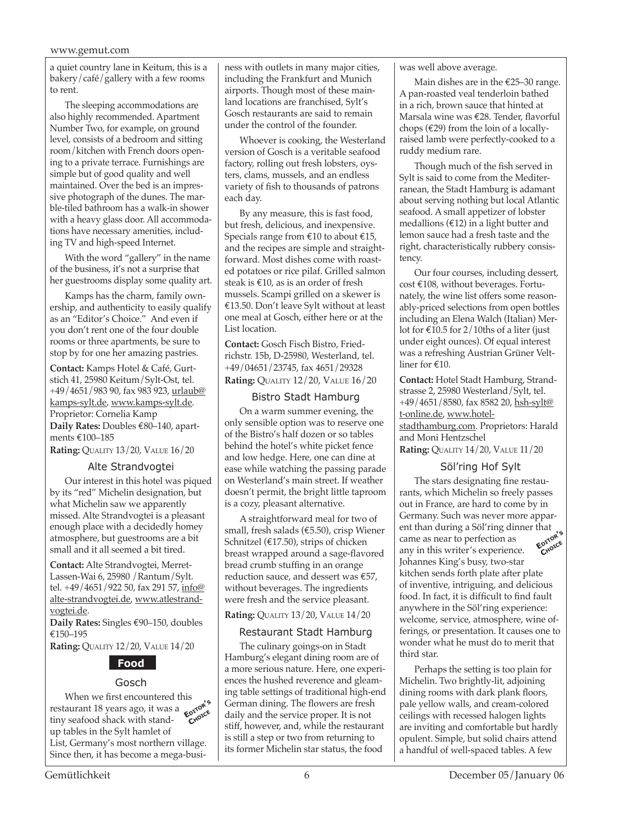a quiet country lane in Keitum, this is a bakery/café/gallery with a few rooms to rent.

The sleeping accommodations are also highly recommended. Apartment Number Two, for example, on ground level, consists of a bedroom and sitting room/kitchen with French doors opening to a private terrace. Furnishings are simple but of good quality and well maintained. Over the bed is an impressive photograph of the dunes. The marble-tiled bathroom has a walk-in shower with a heavy glass door. All accommodations have necessary amenities, including TV and high-speed Internet.

With the word "gallery" in the name of the business, it's not a surprise that her guestrooms display some quality art.

Kamps has the charm, family ownership, and authenticity to easily qualify as an "Editor's Choice." And even if you don't rent one of the four double rooms or three apartments, be sure to stop by for one her amazing pastries.

**Contact:** Kamps Hotel & Café, Gurtstich 41, 25980 Keitum/Sylt-Ost, tel. +49/4651/983 90, fax 983 923, urlaub@ kamps-sylt.de, www.kamps-sylt.de. Proprietor: Cornelia Kamp **Daily Rates:** Doubles €80–140, apartments  $€100–185$ 

**Rating:** Quality 13/20, Value 16/20

#### Alte Strandvogtei

Our interest in this hotel was piqued by its "red" Michelin designation, but what Michelin saw we apparently missed. Alte Strandvogtei is a pleasant enough place with a decidedly homey atmosphere, but guestrooms are a bit small and it all seemed a bit tired.

**Contact:** Alte Strandvogtei, Merret-Lassen-Wai 6, 25980 /Rantum/Sylt. tel. +49/4651/922 50, fax 291 57, info@ alte-strandvogtei.de, www.atlestrandvogtei.de.

**Daily Rates:** Singles €90-150, doubles 150–195

**Rating:** Quality 12/20, Value 14/20

### **Food**

#### Gosch

When we first encountered this restaurant 18 years ago, it was a **E**<sup>p</sup>roxistiny seafood shack with standtiny seafood shack with standup tables in the Sylt hamlet of List, Germany's most northern village. Since then, it has become a mega-business with outlets in many major cities, including the Frankfurt and Munich airports. Though most of these mainland locations are franchised, Sylt's Gosch restaurants are said to remain under the control of the founder.

Whoever is cooking, the Westerland version of Gosch is a veritable seafood factory, rolling out fresh lobsters, oysters, clams, mussels, and an endless variety of fish to thousands of patrons each day.

By any measure, this is fast food, but fresh, delicious, and inexpensive. Specials range from  $\epsilon$ 10 to about  $\epsilon$ 15, and the recipes are simple and straightforward. Most dishes come with roasted potatoes or rice pilaf. Grilled salmon steak is  $\text{\textsterling}10$ , as is an order of fresh mussels. Scampi grilled on a skewer is 13.50. Don't leave Sylt without at least one meal at Gosch, either here or at the List location.

**Contact:** Gosch Fisch Bistro, Friedrichstr. 15b, D-25980, Westerland, tel. +49/04651/23745, fax 4651/29328 **Rating: QUALITY 12/20, VALUE 16/20** 

#### Bistro Stadt Hamburg

On a warm summer evening, the only sensible option was to reserve one of the Bistro's half dozen or so tables behind the hotel's white picket fence and low hedge. Here, one can dine at ease while watching the passing parade on Westerland's main street. If weather doesn't permit, the bright little taproom is a cozy, pleasant alternative.

A straightforward meal for two of small, fresh salads (€5.50), crisp Wiener Schnitzel ( $£17.50$ ), strips of chicken breast wrapped around a sage-flavored bread crumb stuffing in an orange reduction sauce, and dessert was  $£57$ , without beverages. The ingredients were fresh and the service pleasant.

#### **Rating:** Quality 13/20, Value 14/20

#### Restaurant Stadt Hamburg

The culinary goings-on in Stadt Hamburg's elegant dining room are of a more serious nature. Here, one experiences the hushed reverence and gleaming table settings of traditional high-end German dining. The flowers are fresh daily and the service proper. It is not stiff, however, and, while the restaurant is still a step or two from returning to its former Michelin star status, the food

was well above average.

Main dishes are in the  $\epsilon$ 25–30 range. A pan-roasted veal tenderloin bathed in a rich, brown sauce that hinted at Marsala wine was €28. Tender, flavorful chops ( $\epsilon$ 29) from the loin of a locallyraised lamb were perfectly-cooked to a ruddy medium rare.

Though much of the fish served in Sylt is said to come from the Mediterranean, the Stadt Hamburg is adamant about serving nothing but local Atlantic seafood. A small appetizer of lobster medallions ( $\epsilon$ 12) in a light butter and lemon sauce had a fresh taste and the right, characteristically rubbery consistency.

Our four courses, including dessert,  $cost \text{ } \epsilon$ 108, without beverages. Fortunately, the wine list offers some reasonably-priced selections from open bottles including an Elena Walch (Italian) Merlot for  $\text{\textsterling}10.5$  for 2/10ths of a liter (just under eight ounces). Of equal interest was a refreshing Austrian Grüner Veltliner for  $\epsilon$ 10.

**Contact:** Hotel Stadt Hamburg, Strandstrasse 2, 25980 Westerland/Sylt, tel. +49/4651/8580, fax 8582 20, <u>hsh-sylt@</u> t-online.de, www.hotelstadthamburg.com. Proprietors: Harald and Moni Hentzschel **Rating: QUALITY 14/20, VALUE 11/20** 

#### Söl'ring Hof Sylt

The stars designating fine restaurants, which Michelin so freely passes out in France, are hard to come by in Germany. Such was never more apparent than during a Söl'ring dinner that came as near to perfection as any in this writer's experience. Johannes King's busy, two-star kitchen sends forth plate after plate of inventive, intriguing, and delicious food. In fact, it is difficult to find fault anywhere in the Söl'ring experience: welcome, service, atmosphere, wine offerings, or presentation. It causes one to wonder what he must do to merit that third star. **Editor'<sup>s</sup> Choice**

Perhaps the setting is too plain for Michelin. Two brightly-lit, adjoining dining rooms with dark plank floors, pale yellow walls, and cream-colored ceilings with recessed halogen lights are inviting and comfortable but hardly opulent. Simple, but solid chairs attend a handful of well-spaced tables. A few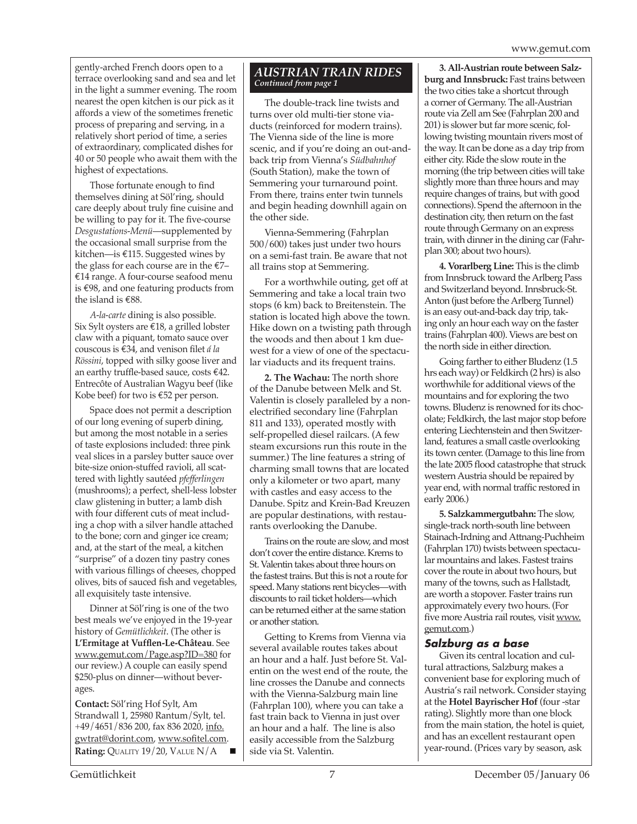gently-arched French doors open to a terrace overlooking sand and sea and let in the light a summer evening. The room nearest the open kitchen is our pick as it affords a view of the sometimes frenetic process of preparing and serving, in a relatively short period of time, a series of extraordinary, complicated dishes for 40 or 50 people who await them with the highest of expectations.

Those fortunate enough to find themselves dining at Söl'ring, should care deeply about truly fine cuisine and be willing to pay for it. The five-course *Desgustations-Menü*—supplemented by the occasional small surprise from the kitchen—is  $€115$ . Suggested wines by the glass for each course are in the  $E$ 7–  $£14$  range. A four-course seafood menu is  $€98$ , and one featuring products from the island is  $€88$ .

*A-la-carte* dining is also possible. Six Sylt oysters are  $\widehat{\in}$  18, a grilled lobster claw with a piquant, tomato sauce over couscous is 34, and venison filet *á la Rössini*, topped with silky goose liver and an earthy truffle-based sauce, costs  $€42$ . Entrecôte of Australian Wagyu beef (like Kobe beef) for two is  $E$ 52 per person.

Space does not permit a description of our long evening of superb dining, but among the most notable in a series of taste explosions included: three pink veal slices in a parsley butter sauce over bite-size onion-stuffed ravioli, all scattered with lightly sautéed *pfefferlingen*  (mushrooms); a perfect, shell-less lobster claw glistening in butter; a lamb dish with four different cuts of meat including a chop with a silver handle attached to the bone; corn and ginger ice cream; and, at the start of the meal, a kitchen "surprise" of a dozen tiny pastry cones with various fillings of cheeses, chopped olives, bits of sauced fish and vegetables, all exquisitely taste intensive.

Dinner at Söl'ring is one of the two best meals we've enjoyed in the 19-year history of *Gemütlichkeit*. (The other is **L'Ermitage at Vufflen-Le-Château**. See www.gemut.com/Page.asp?ID=380 for our review.) A couple can easily spend \$250-plus on dinner—without beverages.

**Contact:** Söl'ring Hof Sylt, Am Strandwall 1, 25980 Rantum/Sylt, tel. +49/4651/836 200, fax 836 2020, <u>info.</u> gwtrat@dorint.com, www.sofitel.com. Rating: QUALITY 19/20, VALUE N/A

#### *Austrian Train Rides Continued from page 1*

The double-track line twists and turns over old multi-tier stone viaducts (reinforced for modern trains). The Vienna side of the line is more scenic, and if you're doing an out-andback trip from Vienna's *Südbahnhof*  (South Station), make the town of Semmering your turnaround point. From there, trains enter twin tunnels and begin heading downhill again on the other side.

Vienna-Semmering (Fahrplan 500/600) takes just under two hours on a semi-fast train. Be aware that not all trains stop at Semmering.

For a worthwhile outing, get off at Semmering and take a local train two stops (6 km) back to Breitenstein. The station is located high above the town. Hike down on a twisting path through the woods and then about 1 km duewest for a view of one of the spectacular viaducts and its frequent trains.

**2. The Wachau:** The north shore of the Danube between Melk and St. Valentin is closely paralleled by a nonelectrified secondary line (Fahrplan 811 and 133), operated mostly with self-propelled diesel railcars. (A few steam excursions run this route in the summer.) The line features a string of charming small towns that are located only a kilometer or two apart, many with castles and easy access to the Danube. Spitz and Krein-Bad Kreuzen are popular destinations, with restaurants overlooking the Danube.

Trains on the route are slow, and most don't cover the entire distance. Krems to St. Valentin takes about three hours on the fastest trains. But this is not a route for speed. Many stations rent bicycles—with discounts to rail ticket holders—which can be returned either at the same station or another station.

Getting to Krems from Vienna via several available routes takes about an hour and a half. Just before St. Valentin on the west end of the route, the line crosses the Danube and connects with the Vienna-Salzburg main line (Fahrplan 100), where you can take a fast train back to Vienna in just over an hour and a half. The line is also easily accessible from the Salzburg side via St. Valentin.

**3. All-Austrian route between Salzburg and Innsbruck:** Fast trains between the two cities take a shortcut through a corner of Germany. The all-Austrian route via Zell am See (Fahrplan 200 and 201) is slower but far more scenic, following twisting mountain rivers most of the way. It can be done as a day trip from either city. Ride the slow route in the morning (the trip between cities will take slightly more than three hours and may require changes of trains, but with good connections). Spend the afternoon in the destination city, then return on the fast route through Germany on an express train, with dinner in the dining car (Fahrplan 300; about two hours).

**4. Vorarlberg Line:** This is the climb from Innsbruck toward the Arlberg Pass and Switzerland beyond. Innsbruck-St. Anton (just before the Arlberg Tunnel) is an easy out-and-back day trip, taking only an hour each way on the faster trains (Fahrplan 400). Views are best on the north side in either direction.

Going farther to either Bludenz (1.5 hrs each way) or Feldkirch (2 hrs) is also worthwhile for additional views of the mountains and for exploring the two towns. Bludenz is renowned for its chocolate; Feldkirch, the last major stop before entering Liechtenstein and then Switzerland, features a small castle overlooking its town center. (Damage to this line from the late 2005 flood catastrophe that struck western Austria should be repaired by year end, with normal traffic restored in early 2006.)

**5. Salzkammergutbahn:** The slow, single-track north-south line between Stainach-Irdning and Attnang-Puchheim (Fahrplan 170) twists between spectacular mountains and lakes. Fastest trains cover the route in about two hours, but many of the towns, such as Hallstadt, are worth a stopover. Faster trains run approximately every two hours. (For five more Austria rail routes, visit www. gemut.com.)

#### *Salzburg as a base*

Given its central location and cultural attractions, Salzburg makes a convenient base for exploring much of Austria's rail network. Consider staying at the **Hotel Bayrischer Hof** (four -star rating). Slightly more than one block from the main station, the hotel is quiet, and has an excellent restaurant open year-round. (Prices vary by season, ask